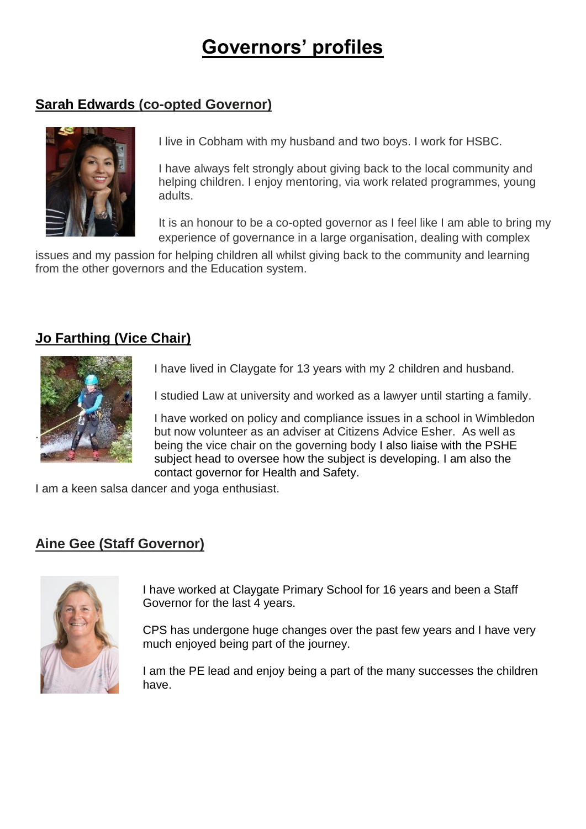# **Governors' profiles**

## **Sarah Edwards (co-opted Governor)**



I live in Cobham with my husband and two boys. I work for HSBC.

I have always felt strongly about giving back to the local community and helping children. I enjoy mentoring, via work related programmes, young adults.

It is an honour to be a co-opted governor as I feel like I am able to bring my experience of governance in a large organisation, dealing with complex

issues and my passion for helping children all whilst giving back to the community and learning from the other governors and the Education system.

## **Jo Farthing (Vice Chair)**



I have lived in Claygate for 13 years with my 2 children and husband.

I studied Law at university and worked as a lawyer until starting a family.

I have worked on policy and compliance issues in a school in Wimbledon but now volunteer as an adviser at Citizens Advice Esher. As well as being the vice chair on the governing body I also liaise with the PSHE subject head to oversee how the subject is developing. I am also the contact governor for Health and Safety.

I am a keen salsa dancer and yoga enthusiast.

## **Aine Gee (Staff Governor)**



I have worked at Claygate Primary School for 16 years and been a Staff Governor for the last 4 years.

CPS has undergone huge changes over the past few years and I have very much enjoyed being part of the journey.

I am the PE lead and enjoy being a part of the many successes the children have.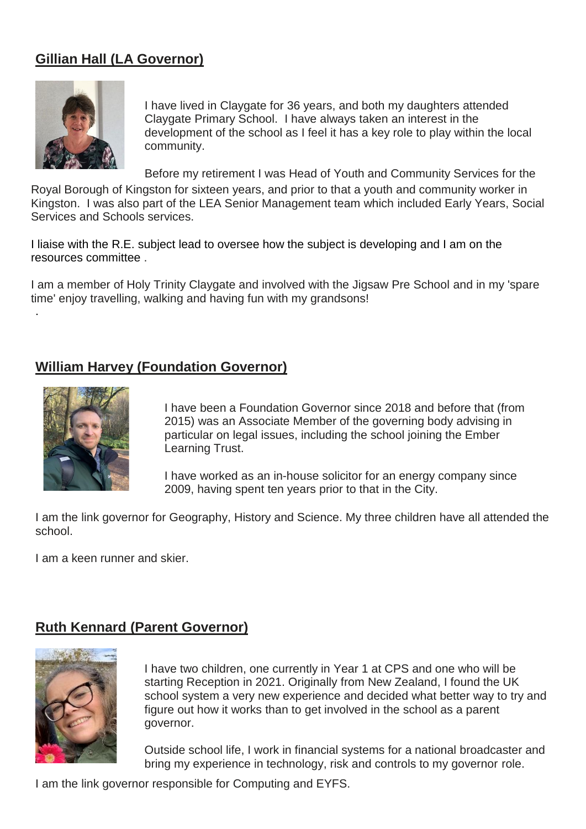# **Gillian Hall (LA Governor)**



I have lived in Claygate for 36 years, and both my daughters attended Claygate Primary School. I have always taken an interest in the development of the school as I feel it has a key role to play within the local community.

Before my retirement I was Head of Youth and Community Services for the

Royal Borough of Kingston for sixteen years, and prior to that a youth and community worker in Kingston. I was also part of the LEA Senior Management team which included Early Years, Social Services and Schools services.

I liaise with the R.E. subject lead to oversee how the subject is developing and I am on the resources committee .

I am a member of Holy Trinity Claygate and involved with the Jigsaw Pre School and in my 'spare time' enjoy travelling, walking and having fun with my grandsons!

## **William Harvey (Foundation Governor)**



.

I have been a Foundation Governor since 2018 and before that (from 2015) was an Associate Member of the governing body advising in particular on legal issues, including the school joining the Ember Learning Trust.

I have worked as an in-house solicitor for an energy company since 2009, having spent ten years prior to that in the City.

I am the link governor for Geography, History and Science. My three children have all attended the school.

I am a keen runner and skier.

#### **Ruth Kennard (Parent Governor)**



I have two children, one currently in Year 1 at CPS and one who will be starting Reception in 2021. Originally from New Zealand, I found the UK school system a very new experience and decided what better way to try and figure out how it works than to get involved in the school as a parent governor.

Outside school life, I work in financial systems for a national broadcaster and bring my experience in technology, risk and controls to my governor role.

I am the link governor responsible for Computing and EYFS.